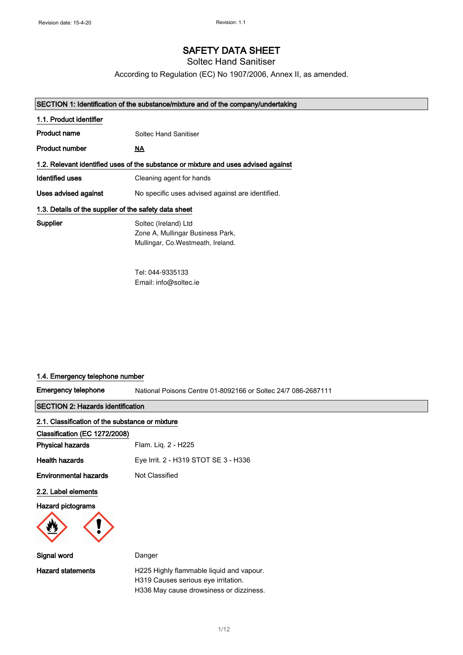# SAFETY DATA SHEET

Soltec Hand Sanitiser

According to Regulation (EC) No 1907/2006, Annex II, as amended.

# SECTION 1: Identification of the substance/mixture and of the company/undertaking

| 1.1. Product identifier                               |                                                                                                |
|-------------------------------------------------------|------------------------------------------------------------------------------------------------|
| Product name                                          | Soltec Hand Sanitiser                                                                          |
| <b>Product number</b>                                 | <u>NA</u>                                                                                      |
|                                                       | 1.2. Relevant identified uses of the substance or mixture and uses advised against             |
| <b>Identified uses</b>                                | Cleaning agent for hands                                                                       |
| Uses advised against                                  | No specific uses advised against are identified.                                               |
| 1.3. Details of the supplier of the safety data sheet |                                                                                                |
| Supplier                                              | Soltec (Ireland) Ltd<br>Zone A, Mullingar Business Park,<br>Mullingar, Co. Westmeath, Ireland. |

Tel: 044-9335133 Email: info@soltec.ie

# 1.4. Emergency telephone number

Emergency telephone

National Poisons Centre 01-8092166 or Soltec 24/7 086-2687111

SECTION 2: Hazards identification

| 2.1. Classification of the substance or mixture |                                                                                                                            |
|-------------------------------------------------|----------------------------------------------------------------------------------------------------------------------------|
| Classification (EC 1272/2008)                   |                                                                                                                            |
| <b>Physical hazards</b>                         | Flam. Liq. 2 - H225                                                                                                        |
| <b>Health hazards</b>                           | Eye Irrit. 2 - H319 STOT SE 3 - H336                                                                                       |
| <b>Environmental hazards</b>                    | Not Classified                                                                                                             |
| 2.2. Label elements                             |                                                                                                                            |
| <b>Hazard pictograms</b>                        |                                                                                                                            |
| Signal word                                     | Danger                                                                                                                     |
| <b>Hazard statements</b>                        | H225 Highly flammable liquid and vapour.<br>H319 Causes serious eye irritation.<br>H336 May cause drowsiness or dizziness. |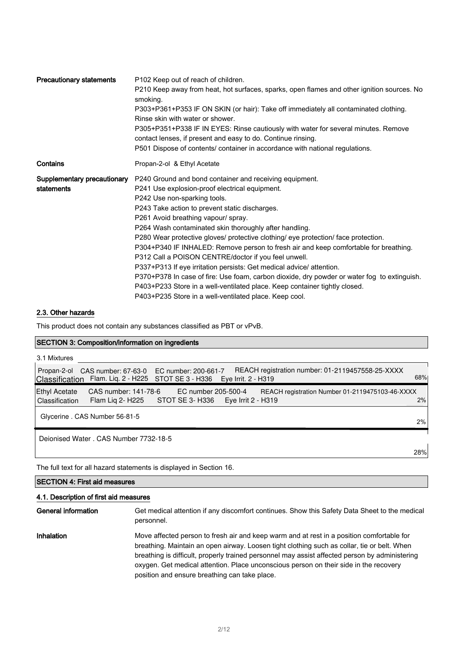| <b>Precautionary statements</b>           | P102 Keep out of reach of children.<br>P210 Keep away from heat, hot surfaces, sparks, open flames and other ignition sources. No<br>smoking.<br>P303+P361+P353 IF ON SKIN (or hair): Take off immediately all contaminated clothing.<br>Rinse skin with water or shower.<br>P305+P351+P338 IF IN EYES: Rinse cautiously with water for several minutes. Remove<br>contact lenses, if present and easy to do. Continue rinsing.<br>P501 Dispose of contents/ container in accordance with national regulations.                                                                                                                                                                                                                                                                                                                                   |
|-------------------------------------------|---------------------------------------------------------------------------------------------------------------------------------------------------------------------------------------------------------------------------------------------------------------------------------------------------------------------------------------------------------------------------------------------------------------------------------------------------------------------------------------------------------------------------------------------------------------------------------------------------------------------------------------------------------------------------------------------------------------------------------------------------------------------------------------------------------------------------------------------------|
| Contains                                  | Propan-2-ol & Ethyl Acetate                                                                                                                                                                                                                                                                                                                                                                                                                                                                                                                                                                                                                                                                                                                                                                                                                       |
| Supplementary precautionary<br>statements | P240 Ground and bond container and receiving equipment.<br>P241 Use explosion-proof electrical equipment.<br>P242 Use non-sparking tools.<br>P243 Take action to prevent static discharges.<br>P261 Avoid breathing vapour/ spray.<br>P264 Wash contaminated skin thoroughly after handling.<br>P280 Wear protective gloves/ protective clothing/ eye protection/ face protection.<br>P304+P340 IF INHALED: Remove person to fresh air and keep comfortable for breathing.<br>P312 Call a POISON CENTRE/doctor if you feel unwell.<br>P337+P313 If eye irritation persists: Get medical advice/ attention.<br>P370+P378 In case of fire: Use foam, carbon dioxide, dry powder or water fog to extinguish.<br>P403+P233 Store in a well-ventilated place. Keep container tightly closed.<br>P403+P235 Store in a well-ventilated place. Keep cool. |

### 2.3. Other hazards

This product does not contain any substances classified as PBT or vPvB.

### SECTION 3: Composition/information on ingredients

| 3.1 Mixtures                                                                                                                                                                             |     |
|------------------------------------------------------------------------------------------------------------------------------------------------------------------------------------------|-----|
| REACH registration number: 01-2119457558-25-XXXX<br>CAS number: 67-63-0 EC number: 200-661-7<br>Propan-2-ol<br>Classification Flam. Liq. 2 - H225 STOT SE 3 - H336 Eye Irrit. 2 - H319   | 68% |
| CAS number: 141-78-6<br>Ethyl Acetate<br>EC number 205-500-4<br>REACH registration Number 01-2119475103-46-XXXX<br>Flam Lig 2- H225 STOT SE 3- H336 Eye Irrit 2 - H319<br>Classification | 2%  |
| Glycerine . CAS Number 56-81-5                                                                                                                                                           | 2%  |
| Deionised Water, CAS Number 7732-18-5                                                                                                                                                    |     |
|                                                                                                                                                                                          | 28% |

The full text for all hazard statements is displayed in Section 16.

# SECTION 4: First aid measures

# 4.1. Description of first aid measures

General information Get medical attention if any discomfort continues. Show this Safety Data Sheet to the medical personnel.

Inhalation Move affected person to fresh air and keep warm and at rest in a position comfortable for breathing. Maintain an open airway. Loosen tight clothing such as collar, tie or belt. When breathing is difficult, properly trained personnel may assist affected person by administering oxygen. Get medical attention. Place unconscious person on their side in the recovery position and ensure breathing can take place.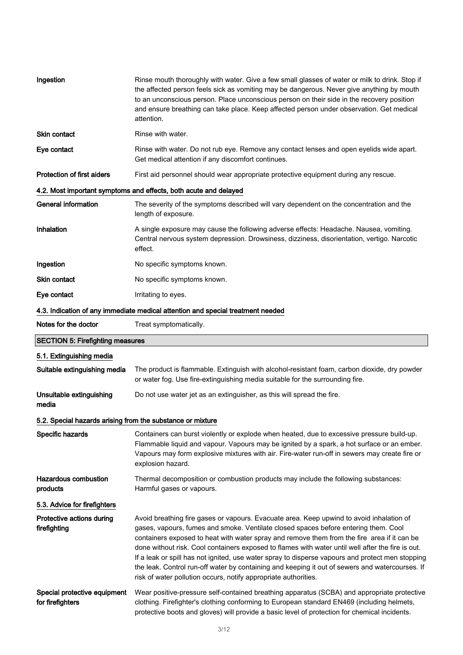| Ingestion                                                  | Rinse mouth thoroughly with water. Give a few small glasses of water or milk to drink. Stop if<br>the affected person feels sick as vomiting may be dangerous. Never give anything by mouth<br>to an unconscious person. Place unconscious person on their side in the recovery position<br>and ensure breathing can take place. Keep affected person under observation. Get medical<br>attention.                                                                                                                                                                                                                                                            |
|------------------------------------------------------------|---------------------------------------------------------------------------------------------------------------------------------------------------------------------------------------------------------------------------------------------------------------------------------------------------------------------------------------------------------------------------------------------------------------------------------------------------------------------------------------------------------------------------------------------------------------------------------------------------------------------------------------------------------------|
| <b>Skin contact</b>                                        | Rinse with water.                                                                                                                                                                                                                                                                                                                                                                                                                                                                                                                                                                                                                                             |
| Eye contact                                                | Rinse with water. Do not rub eye. Remove any contact lenses and open eyelids wide apart.<br>Get medical attention if any discomfort continues.                                                                                                                                                                                                                                                                                                                                                                                                                                                                                                                |
| <b>Protection of first aiders</b>                          | First aid personnel should wear appropriate protective equipment during any rescue.                                                                                                                                                                                                                                                                                                                                                                                                                                                                                                                                                                           |
|                                                            | 4.2. Most important symptoms and effects, both acute and delayed                                                                                                                                                                                                                                                                                                                                                                                                                                                                                                                                                                                              |
| <b>General information</b>                                 | The severity of the symptoms described will vary dependent on the concentration and the<br>length of exposure.                                                                                                                                                                                                                                                                                                                                                                                                                                                                                                                                                |
| Inhalation                                                 | A single exposure may cause the following adverse effects: Headache. Nausea, vomiting.<br>Central nervous system depression. Drowsiness, dizziness, disorientation, vertigo. Narcotic<br>effect.                                                                                                                                                                                                                                                                                                                                                                                                                                                              |
| Ingestion                                                  | No specific symptoms known.                                                                                                                                                                                                                                                                                                                                                                                                                                                                                                                                                                                                                                   |
| <b>Skin contact</b>                                        | No specific symptoms known.                                                                                                                                                                                                                                                                                                                                                                                                                                                                                                                                                                                                                                   |
| Eye contact                                                | Irritating to eyes.                                                                                                                                                                                                                                                                                                                                                                                                                                                                                                                                                                                                                                           |
|                                                            | 4.3. Indication of any immediate medical attention and special treatment needed                                                                                                                                                                                                                                                                                                                                                                                                                                                                                                                                                                               |
| Notes for the doctor                                       | Treat symptomatically.                                                                                                                                                                                                                                                                                                                                                                                                                                                                                                                                                                                                                                        |
| <b>SECTION 5: Firefighting measures</b>                    |                                                                                                                                                                                                                                                                                                                                                                                                                                                                                                                                                                                                                                                               |
| 5.1. Extinguishing media                                   |                                                                                                                                                                                                                                                                                                                                                                                                                                                                                                                                                                                                                                                               |
| Suitable extinguishing media                               | The product is flammable. Extinguish with alcohol-resistant foam, carbon dioxide, dry powder<br>or water fog. Use fire-extinguishing media suitable for the surrounding fire.                                                                                                                                                                                                                                                                                                                                                                                                                                                                                 |
| Unsuitable extinguishing<br>media                          | Do not use water jet as an extinguisher, as this will spread the fire.                                                                                                                                                                                                                                                                                                                                                                                                                                                                                                                                                                                        |
| 5.2. Special hazards arising from the substance or mixture |                                                                                                                                                                                                                                                                                                                                                                                                                                                                                                                                                                                                                                                               |
| Specific hazards                                           | Containers can burst violently or explode when heated, due to excessive pressure build-up.<br>Flammable liquid and vapour. Vapours may be ignited by a spark, a hot surface or an ember.<br>Vapours may form explosive mixtures with air. Fire-water run-off in sewers may create fire or<br>explosion hazard.                                                                                                                                                                                                                                                                                                                                                |
| <b>Hazardous combustion</b><br>products                    | Thermal decomposition or combustion products may include the following substances:<br>Harmful gases or vapours.                                                                                                                                                                                                                                                                                                                                                                                                                                                                                                                                               |
| 5.3. Advice for firefighters                               |                                                                                                                                                                                                                                                                                                                                                                                                                                                                                                                                                                                                                                                               |
| Protective actions during<br>firefighting                  | Avoid breathing fire gases or vapours. Evacuate area. Keep upwind to avoid inhalation of<br>gases, vapours, fumes and smoke. Ventilate closed spaces before entering them. Cool<br>containers exposed to heat with water spray and remove them from the fire area if it can be<br>done without risk. Cool containers exposed to flames with water until well after the fire is out.<br>If a leak or spill has not ignited, use water spray to disperse vapours and protect men stopping<br>the leak. Control run-off water by containing and keeping it out of sewers and watercourses. If<br>risk of water pollution occurs, notify appropriate authorities. |
| Special protective equipment<br>for firefighters           | Wear positive-pressure self-contained breathing apparatus (SCBA) and appropriate protective<br>clothing. Firefighter's clothing conforming to European standard EN469 (including helmets,<br>protective boots and gloves) will provide a basic level of protection for chemical incidents.                                                                                                                                                                                                                                                                                                                                                                    |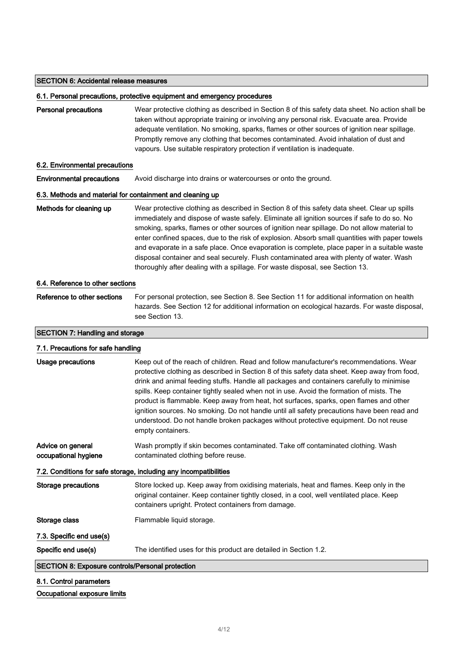### SECTION 6: Accidental release measures

#### 6.1. Personal precautions, protective equipment and emergency procedures

Personal precautions Wear protective clothing as described in Section 8 of this safety data sheet. No action shall be taken without appropriate training or involving any personal risk. Evacuate area. Provide adequate ventilation. No smoking, sparks, flames or other sources of ignition near spillage. Promptly remove any clothing that becomes contaminated. Avoid inhalation of dust and vapours. Use suitable respiratory protection if ventilation is inadequate.

### 6.2. Environmental precautions

Environmental precautions Avoid discharge into drains or watercourses or onto the ground.

### 6.3. Methods and material for containment and cleaning up

Methods for cleaning up Wear protective clothing as described in Section 8 of this safety data sheet. Clear up spills immediately and dispose of waste safely. Eliminate all ignition sources if safe to do so. No smoking, sparks, flames or other sources of ignition near spillage. Do not allow material to enter confined spaces, due to the risk of explosion. Absorb small quantities with paper towels and evaporate in a safe place. Once evaporation is complete, place paper in a suitable waste disposal container and seal securely. Flush contaminated area with plenty of water. Wash thoroughly after dealing with a spillage. For waste disposal, see Section 13.

#### 6.4. Reference to other sections

Reference to other sections For personal protection, see Section 8. See Section 11 for additional information on health hazards. See Section 12 for additional information on ecological hazards. For waste disposal, see Section 13.

# SECTION 7: Handling and storage

| 7.1. Precautions for safe handling                                |                                                                                                                                                                                                                                                                                                                                                                                                                                                                                                                                                                                                                                                                                         |  |
|-------------------------------------------------------------------|-----------------------------------------------------------------------------------------------------------------------------------------------------------------------------------------------------------------------------------------------------------------------------------------------------------------------------------------------------------------------------------------------------------------------------------------------------------------------------------------------------------------------------------------------------------------------------------------------------------------------------------------------------------------------------------------|--|
| Usage precautions                                                 | Keep out of the reach of children. Read and follow manufacturer's recommendations. Wear<br>protective clothing as described in Section 8 of this safety data sheet. Keep away from food,<br>drink and animal feeding stuffs. Handle all packages and containers carefully to minimise<br>spills. Keep container tightly sealed when not in use. Avoid the formation of mists. The<br>product is flammable. Keep away from heat, hot surfaces, sparks, open flames and other<br>ignition sources. No smoking. Do not handle until all safety precautions have been read and<br>understood. Do not handle broken packages without protective equipment. Do not reuse<br>empty containers. |  |
| Advice on general<br>occupational hygiene                         | Wash promptly if skin becomes contaminated. Take off contaminated clothing. Wash<br>contaminated clothing before reuse.                                                                                                                                                                                                                                                                                                                                                                                                                                                                                                                                                                 |  |
| 7.2. Conditions for safe storage, including any incompatibilities |                                                                                                                                                                                                                                                                                                                                                                                                                                                                                                                                                                                                                                                                                         |  |
| Storage precautions                                               | Store locked up. Keep away from oxidising materials, heat and flames. Keep only in the<br>original container. Keep container tightly closed, in a cool, well ventilated place. Keep<br>containers upright. Protect containers from damage.                                                                                                                                                                                                                                                                                                                                                                                                                                              |  |
| Storage class                                                     | Flammable liquid storage.                                                                                                                                                                                                                                                                                                                                                                                                                                                                                                                                                                                                                                                               |  |
| 7.3. Specific end use(s)                                          |                                                                                                                                                                                                                                                                                                                                                                                                                                                                                                                                                                                                                                                                                         |  |
| Specific end use(s)                                               | The identified uses for this product are detailed in Section 1.2.                                                                                                                                                                                                                                                                                                                                                                                                                                                                                                                                                                                                                       |  |
| <b>SECTION 8: Exposure controls/Personal protection</b>           |                                                                                                                                                                                                                                                                                                                                                                                                                                                                                                                                                                                                                                                                                         |  |
|                                                                   |                                                                                                                                                                                                                                                                                                                                                                                                                                                                                                                                                                                                                                                                                         |  |

# 8.1. Control parameters

### Occupational exposure limits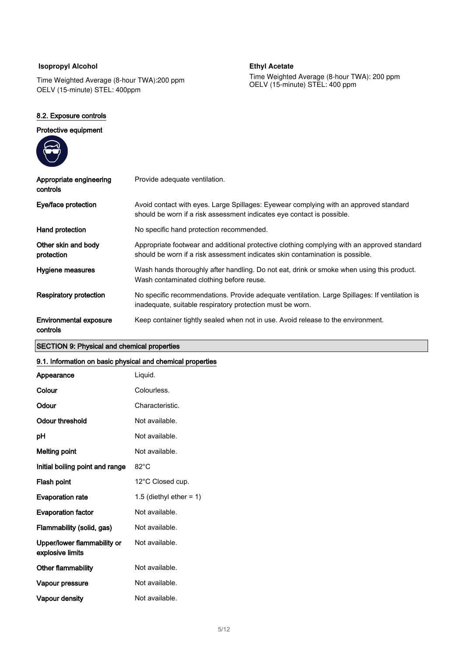# **Isopropyl Alcohol**

Time Weighted Average (8-hour TWA): 200 ppm OELV (15-minute) STEL: 400ppm

### 8.2. Exposure controls

# Protective equipment

**Ethyl Acetate** 

Time Weighted Average (8-hour TWA): 200 ppm OELV (15-minute) STEL: 400 ppm

| Appropriate engineering<br>controls       | Provide adequate ventilation.                                                                                                                                                |
|-------------------------------------------|------------------------------------------------------------------------------------------------------------------------------------------------------------------------------|
| Eye/face protection                       | Avoid contact with eyes. Large Spillages: Eyewear complying with an approved standard<br>should be worn if a risk assessment indicates eye contact is possible.              |
| Hand protection                           | No specific hand protection recommended.                                                                                                                                     |
| Other skin and body<br>protection         | Appropriate footwear and additional protective clothing complying with an approved standard<br>should be worn if a risk assessment indicates skin contamination is possible. |
| Hygiene measures                          | Wash hands thoroughly after handling. Do not eat, drink or smoke when using this product.<br>Wash contaminated clothing before reuse.                                        |
| Respiratory protection                    | No specific recommendations. Provide adequate ventilation. Large Spillages: If ventilation is<br>inadequate, suitable respiratory protection must be worn.                   |
| <b>Environmental exposure</b><br>controls | Keep container tightly sealed when not in use. Avoid release to the environment.                                                                                             |

# SECTION 9: Physical and chemical properties

# 9.1. Information on basic physical and chemical properties

| Appearance                                      | Liquid.                    |
|-------------------------------------------------|----------------------------|
| Colour                                          | Colourless.                |
| Odour                                           | Characteristic.            |
| <b>Odour threshold</b>                          | Not available.             |
| рH                                              | Not available.             |
| <b>Melting point</b>                            | Not available.             |
| Initial boiling point and range                 | $82^{\circ}$ C             |
| Flash point                                     | 12°C Closed cup.           |
| <b>Evaporation rate</b>                         | 1.5 (diethyl ether $= 1$ ) |
| <b>Evaporation factor</b>                       | Not available.             |
| Flammability (solid, gas)                       | Not available.             |
| Upper/lower flammability or<br>explosive limits | Not available.             |
| <b>Other flammability</b>                       | Not available.             |
| Vapour pressure                                 | Not available.             |
| Vapour density                                  | Not available.             |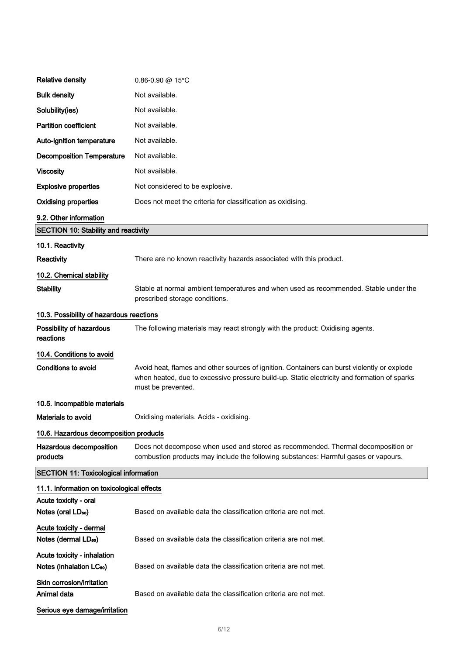| <b>Relative density</b>                                             | $0.86 - 0.90$ @ 15°C                                                                                                                                                                                             |
|---------------------------------------------------------------------|------------------------------------------------------------------------------------------------------------------------------------------------------------------------------------------------------------------|
| <b>Bulk density</b>                                                 | Not available.                                                                                                                                                                                                   |
| Solubility(ies)                                                     | Not available.                                                                                                                                                                                                   |
| <b>Partition coefficient</b>                                        | Not available.                                                                                                                                                                                                   |
| Auto-ignition temperature                                           | Not available.                                                                                                                                                                                                   |
| <b>Decomposition Temperature</b>                                    | Not available.                                                                                                                                                                                                   |
| <b>Viscosity</b>                                                    | Not available.                                                                                                                                                                                                   |
| <b>Explosive properties</b>                                         | Not considered to be explosive.                                                                                                                                                                                  |
| <b>Oxidising properties</b>                                         | Does not meet the criteria for classification as oxidising.                                                                                                                                                      |
| 9.2. Other information                                              |                                                                                                                                                                                                                  |
| <b>SECTION 10: Stability and reactivity</b>                         |                                                                                                                                                                                                                  |
| 10.1. Reactivity                                                    |                                                                                                                                                                                                                  |
| Reactivity                                                          | There are no known reactivity hazards associated with this product.                                                                                                                                              |
| 10.2. Chemical stability                                            |                                                                                                                                                                                                                  |
| <b>Stability</b>                                                    | Stable at normal ambient temperatures and when used as recommended. Stable under the<br>prescribed storage conditions.                                                                                           |
| 10.3. Possibility of hazardous reactions                            |                                                                                                                                                                                                                  |
| Possibility of hazardous<br>reactions                               | The following materials may react strongly with the product: Oxidising agents.                                                                                                                                   |
| 10.4. Conditions to avoid                                           |                                                                                                                                                                                                                  |
| <b>Conditions to avoid</b>                                          | Avoid heat, flames and other sources of ignition. Containers can burst violently or explode<br>when heated, due to excessive pressure build-up. Static electricity and formation of sparks<br>must be prevented. |
| 10.5. Incompatible materials                                        |                                                                                                                                                                                                                  |
| <b>Materials to avoid</b>                                           | Oxidising materials. Acids - oxidising.                                                                                                                                                                          |
| 10.6. Hazardous decomposition products                              |                                                                                                                                                                                                                  |
| Hazardous decomposition<br>products                                 | Does not decompose when used and stored as recommended. Thermal decomposition or<br>combustion products may include the following substances: Harmful gases or vapours.                                          |
| <b>SECTION 11: Toxicological information</b>                        |                                                                                                                                                                                                                  |
| 11.1. Information on toxicological effects                          |                                                                                                                                                                                                                  |
| Acute toxicity - oral                                               |                                                                                                                                                                                                                  |
| Notes (oral LD <sub>50</sub> )                                      | Based on available data the classification criteria are not met.                                                                                                                                                 |
| Acute toxicity - dermal<br>Notes (dermal LD <sub>50</sub> )         | Based on available data the classification criteria are not met.                                                                                                                                                 |
| Acute toxicity - inhalation<br>Notes (inhalation LC <sub>50</sub> ) | Based on available data the classification criteria are not met.                                                                                                                                                 |
| Skin corrosion/irritation<br>Animal data                            | Based on available data the classification criteria are not met.                                                                                                                                                 |
| Serious eye damage/irritation                                       |                                                                                                                                                                                                                  |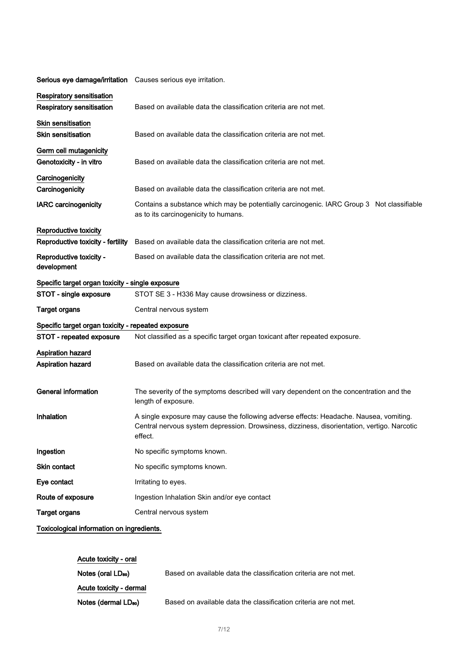| Serious eye damage/irritation Causes serious eye irritation. |                                                                                                                                                                                                  |
|--------------------------------------------------------------|--------------------------------------------------------------------------------------------------------------------------------------------------------------------------------------------------|
| <b>Respiratory sensitisation</b>                             |                                                                                                                                                                                                  |
| <b>Respiratory sensitisation</b>                             | Based on available data the classification criteria are not met.                                                                                                                                 |
| <b>Skin sensitisation</b>                                    |                                                                                                                                                                                                  |
| <b>Skin sensitisation</b>                                    | Based on available data the classification criteria are not met.                                                                                                                                 |
| Germ cell mutagenicity                                       |                                                                                                                                                                                                  |
| Genotoxicity - in vitro                                      | Based on available data the classification criteria are not met.                                                                                                                                 |
| Carcinogenicity                                              |                                                                                                                                                                                                  |
| Carcinogenicity                                              | Based on available data the classification criteria are not met.                                                                                                                                 |
| <b>IARC</b> carcinogenicity                                  | Contains a substance which may be potentially carcinogenic. IARC Group 3 Not classifiable<br>as to its carcinogenicity to humans.                                                                |
| Reproductive toxicity                                        |                                                                                                                                                                                                  |
| Reproductive toxicity - fertility                            | Based on available data the classification criteria are not met.                                                                                                                                 |
| Reproductive toxicity -<br>development                       | Based on available data the classification criteria are not met.                                                                                                                                 |
| Specific target organ toxicity - single exposure             |                                                                                                                                                                                                  |
| STOT - single exposure                                       | STOT SE 3 - H336 May cause drowsiness or dizziness.                                                                                                                                              |
| <b>Target organs</b>                                         | Central nervous system                                                                                                                                                                           |
| Specific target organ toxicity - repeated exposure           |                                                                                                                                                                                                  |
| <b>STOT - repeated exposure</b>                              | Not classified as a specific target organ toxicant after repeated exposure.                                                                                                                      |
| <b>Aspiration hazard</b>                                     |                                                                                                                                                                                                  |
| <b>Aspiration hazard</b>                                     | Based on available data the classification criteria are not met.                                                                                                                                 |
| <b>General information</b>                                   | The severity of the symptoms described will vary dependent on the concentration and the<br>length of exposure.                                                                                   |
| Inhalation                                                   | A single exposure may cause the following adverse effects: Headache. Nausea, vomiting.<br>Central nervous system depression. Drowsiness, dizziness, disorientation, vertigo. Narcotic<br>effect. |
| Ingestion                                                    | No specific symptoms known.                                                                                                                                                                      |
| Skin contact                                                 | No specific symptoms known.                                                                                                                                                                      |
| Eye contact                                                  | Irritating to eyes.                                                                                                                                                                              |
| Route of exposure                                            | Ingestion Inhalation Skin and/or eye contact                                                                                                                                                     |
| <b>Target organs</b>                                         | Central nervous system                                                                                                                                                                           |
| Toxicological information on ingredients.                    |                                                                                                                                                                                                  |

| Acute toxicity - oral            |                                                                  |
|----------------------------------|------------------------------------------------------------------|
| Notes (oral LD <sub>50</sub> )   | Based on available data the classification criteria are not met. |
| Acute toxicity - dermal          |                                                                  |
| Notes (dermal LD <sub>50</sub> ) | Based on available data the classification criteria are not met. |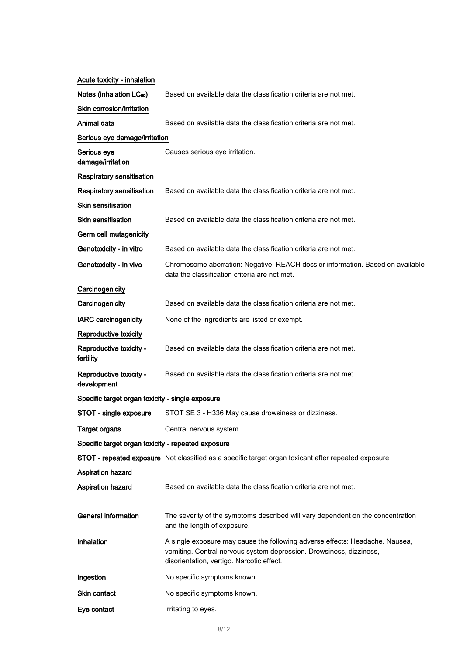| Acute toxicity - inhalation                        |                                                                                                                                                                                                  |
|----------------------------------------------------|--------------------------------------------------------------------------------------------------------------------------------------------------------------------------------------------------|
| Notes (inhalation LC <sub>50</sub> )               | Based on available data the classification criteria are not met.                                                                                                                                 |
| Skin corrosion/irritation                          |                                                                                                                                                                                                  |
| Animal data                                        | Based on available data the classification criteria are not met.                                                                                                                                 |
| Serious eye damage/irritation                      |                                                                                                                                                                                                  |
| Serious eye<br>damage/irritation                   | Causes serious eye irritation.                                                                                                                                                                   |
| <b>Respiratory sensitisation</b>                   |                                                                                                                                                                                                  |
| Respiratory sensitisation                          | Based on available data the classification criteria are not met.                                                                                                                                 |
| <b>Skin sensitisation</b>                          |                                                                                                                                                                                                  |
| <b>Skin sensitisation</b>                          | Based on available data the classification criteria are not met.                                                                                                                                 |
| Germ cell mutagenicity                             |                                                                                                                                                                                                  |
| Genotoxicity - in vitro                            | Based on available data the classification criteria are not met.                                                                                                                                 |
| Genotoxicity - in vivo                             | Chromosome aberration: Negative. REACH dossier information. Based on available<br>data the classification criteria are not met.                                                                  |
| Carcinogenicity                                    |                                                                                                                                                                                                  |
| Carcinogenicity                                    | Based on available data the classification criteria are not met.                                                                                                                                 |
| <b>IARC</b> carcinogenicity                        | None of the ingredients are listed or exempt.                                                                                                                                                    |
| Reproductive toxicity                              |                                                                                                                                                                                                  |
| Reproductive toxicity -<br>fertility               | Based on available data the classification criteria are not met.                                                                                                                                 |
| Reproductive toxicity -<br>development             | Based on available data the classification criteria are not met.                                                                                                                                 |
| Specific target organ toxicity - single exposure   |                                                                                                                                                                                                  |
| STOT - single exposure                             | STOT SE 3 - H336 May cause drowsiness or dizziness.                                                                                                                                              |
| <b>Target organs</b>                               | Central nervous system                                                                                                                                                                           |
| Specific target organ toxicity - repeated exposure |                                                                                                                                                                                                  |
|                                                    | STOT - repeated exposure Not classified as a specific target organ toxicant after repeated exposure.                                                                                             |
| Aspiration hazard                                  |                                                                                                                                                                                                  |
| <b>Aspiration hazard</b>                           | Based on available data the classification criteria are not met.                                                                                                                                 |
| <b>General information</b>                         | The severity of the symptoms described will vary dependent on the concentration<br>and the length of exposure.                                                                                   |
| Inhalation                                         | A single exposure may cause the following adverse effects: Headache. Nausea,<br>vomiting. Central nervous system depression. Drowsiness, dizziness,<br>disorientation, vertigo. Narcotic effect. |
| Ingestion                                          | No specific symptoms known.                                                                                                                                                                      |
| Skin contact                                       | No specific symptoms known.                                                                                                                                                                      |
| Eye contact                                        | Irritating to eyes.                                                                                                                                                                              |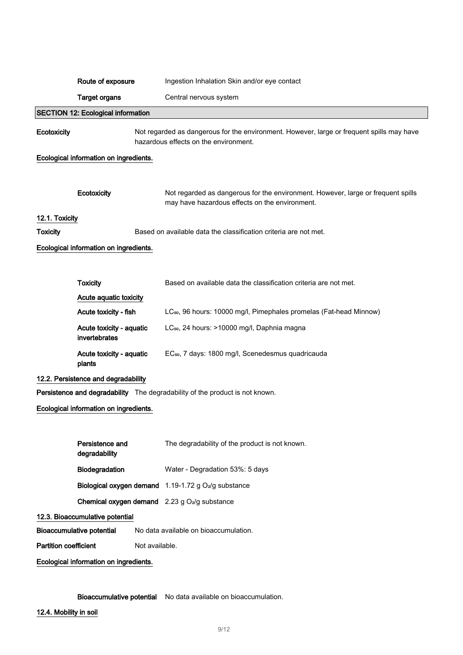|                                        | Route of exposure                         |                | Ingestion Inhalation Skin and/or eye contact                                                                                       |
|----------------------------------------|-------------------------------------------|----------------|------------------------------------------------------------------------------------------------------------------------------------|
|                                        | <b>Target organs</b>                      |                | Central nervous system                                                                                                             |
|                                        | <b>SECTION 12: Ecological information</b> |                |                                                                                                                                    |
| Ecotoxicity                            |                                           |                | Not regarded as dangerous for the environment. However, large or frequent spills may have<br>hazardous effects on the environment. |
|                                        | Ecological information on ingredients.    |                |                                                                                                                                    |
|                                        |                                           |                |                                                                                                                                    |
|                                        | Ecotoxicity                               |                | Not regarded as dangerous for the environment. However, large or frequent spills<br>may have hazardous effects on the environment. |
| 12.1. Toxicity                         |                                           |                |                                                                                                                                    |
| <b>Toxicity</b>                        |                                           |                | Based on available data the classification criteria are not met.                                                                   |
|                                        | Ecological information on ingredients.    |                |                                                                                                                                    |
|                                        |                                           |                |                                                                                                                                    |
|                                        | <b>Toxicity</b>                           |                | Based on available data the classification criteria are not met.                                                                   |
|                                        | Acute aquatic toxicity                    |                |                                                                                                                                    |
|                                        | Acute toxicity - fish                     |                | LC <sub>50</sub> , 96 hours: 10000 mg/l, Pimephales promelas (Fat-head Minnow)                                                     |
|                                        | Acute toxicity - aquatic<br>invertebrates |                | LC <sub>50</sub> , 24 hours: >10000 mg/l, Daphnia magna                                                                            |
|                                        | Acute toxicity - aquatic<br>plants        |                | EC <sub>50</sub> , 7 days: 1800 mg/l, Scenedesmus quadricauda                                                                      |
|                                        | 12.2. Persistence and degradability       |                |                                                                                                                                    |
|                                        |                                           |                | Persistence and degradability The degradability of the product is not known.                                                       |
|                                        | Ecological information on ingredients.    |                |                                                                                                                                    |
|                                        |                                           |                |                                                                                                                                    |
|                                        | Persistence and<br>degradability          |                | The degradability of the product is not known.                                                                                     |
|                                        | Biodegradation                            |                | Water - Degradation 53%: 5 days                                                                                                    |
|                                        |                                           |                | Biological oxygen demand 1.19-1.72 g O <sub>2</sub> /g substance                                                                   |
|                                        |                                           |                | Chemical oxygen demand 2.23 g O <sub>2</sub> /g substance                                                                          |
|                                        | 12.3. Bioaccumulative potential           |                |                                                                                                                                    |
|                                        | <b>Bioaccumulative potential</b>          |                | No data available on bioaccumulation.                                                                                              |
| <b>Partition coefficient</b>           |                                           | Not available. |                                                                                                                                    |
| Ecological information on ingredients. |                                           |                |                                                                                                                                    |
|                                        |                                           |                |                                                                                                                                    |
|                                        |                                           |                |                                                                                                                                    |

Bioaccumulative potential No data available on bioaccumulation.

12.4. Mobility in soil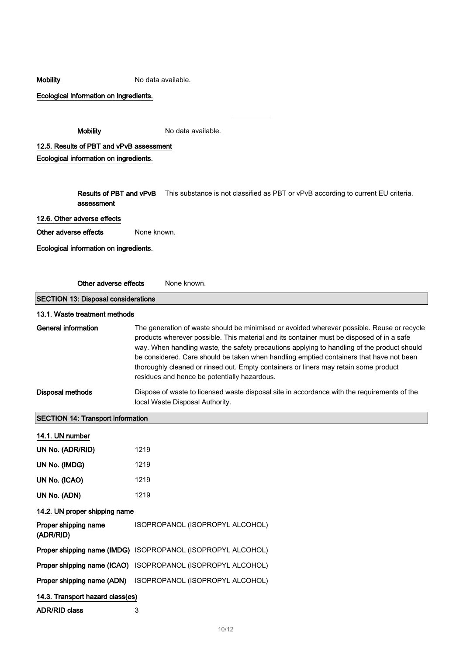### Mobility Mobility No data available.

Ecological information on ingredients.

Mobility Modata available.

12.5. Results of PBT and vPvB assessment Ecological information on ingredients.

> Results of PBT and vPvB assessment This substance is not classified as PBT or vPvB according to current EU criteria.

### 12.6. Other adverse effects

Other adverse effects None known.

Ecological information on ingredients.

Other adverse effects None known.

SECTION 13: Disposal considerations 13.1. Waste treatment methods General information The generation of waste should be minimised or avoided wherever possible. Reuse or recycle

products wherever possible. This material and its container must be disposed of in a safe way. When handling waste, the safety precautions applying to handling of the product should be considered. Care should be taken when handling emptied containers that have not been thoroughly cleaned or rinsed out. Empty containers or liners may retain some product residues and hence be potentially hazardous.

Disposal methods Dispose of waste to licensed waste disposal site in accordance with the requirements of the local Waste Disposal Authority.

## SECTION 14: Transport information

| 14.1. UN number                   |                                                             |
|-----------------------------------|-------------------------------------------------------------|
| UN No. (ADR/RID)                  | 1219                                                        |
| UN No. (IMDG)                     | 1219                                                        |
| UN No. (ICAO)                     | 1219                                                        |
| UN No. (ADN)                      | 1219                                                        |
| 14.2. UN proper shipping name     |                                                             |
| Proper shipping name<br>(ADR/RID) | ISOPROPANOL (ISOPROPYL ALCOHOL)                             |
|                                   | Proper shipping name (IMDG) ISOPROPANOL (ISOPROPYL ALCOHOL) |
|                                   | Proper shipping name (ICAO) ISOPROPANOL (ISOPROPYL ALCOHOL) |
|                                   | Proper shipping name (ADN) ISOPROPANOL (ISOPROPYL ALCOHOL)  |
| 14.3. Transport hazard class(es)  |                                                             |
| <b>ADR/RID class</b>              | 3                                                           |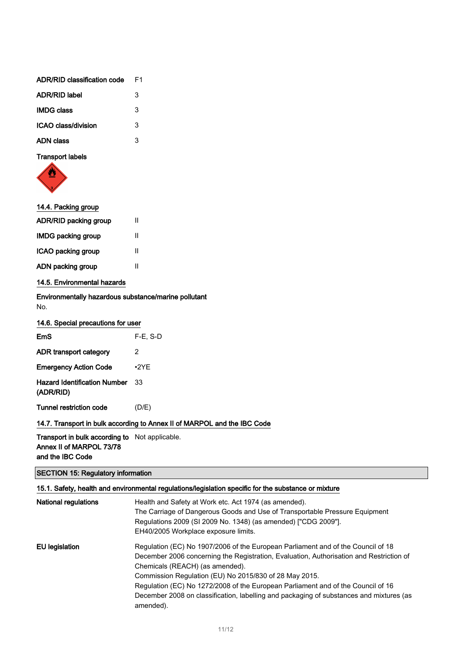| ADR/RID classification code | F1 |
|-----------------------------|----|
| <b>ADR/RID label</b>        | 3  |
| <b>IMDG class</b>           | 3  |
| ICAO class/division         | 3  |
| ADN class                   | 3  |
|                             |    |

Transport labels



| 14.4. Packing group          |   |  |
|------------------------------|---|--|
| <b>ADR/RID packing group</b> | Ш |  |
| <b>IMDG packing group</b>    | Ш |  |
| ICAO packing group           | Ш |  |
| ADN packing group            | Ш |  |
| 14.5. Environmental hazards  |   |  |
|                              |   |  |

Environmentally hazardous substance/marine pollutant No.

| 14.6. Special precautions for user |  |  |  |
|------------------------------------|--|--|--|
|------------------------------------|--|--|--|

| $F-E$ , S-D |
|-------------|
| 2           |
| •2YF        |
| 33          |
| (D/E)       |
|             |

# 14.7. Transport in bulk according to Annex II of MARPOL and the IBC Code

Transport in bulk according to Not applicable. Annex II of MARPOL 73/78 and the IBC Code

# SECTION 15: Regulatory information

# 15.1. Safety, health and environmental regulations/legislation specific for the substance or mixture

| <b>National regulations</b> | Health and Safety at Work etc. Act 1974 (as amended).<br>The Carriage of Dangerous Goods and Use of Transportable Pressure Equipment<br>Regulations 2009 (SI 2009 No. 1348) (as amended) ["CDG 2009"].<br>EH40/2005 Workplace exposure limits. |
|-----------------------------|------------------------------------------------------------------------------------------------------------------------------------------------------------------------------------------------------------------------------------------------|
| EU legislation              | Regulation (EC) No 1907/2006 of the European Parliament and of the Council of 18<br>December 2006 concerning the Registration, Evaluation, Authorisation and Restriction of<br>Chemicals (REACH) (as amended).                                 |
|                             | Commission Regulation (EU) No 2015/830 of 28 May 2015.                                                                                                                                                                                         |
|                             | Regulation (EC) No 1272/2008 of the European Parliament and of the Council of 16                                                                                                                                                               |
|                             | December 2008 on classification, labelling and packaging of substances and mixtures (as<br>amended).                                                                                                                                           |